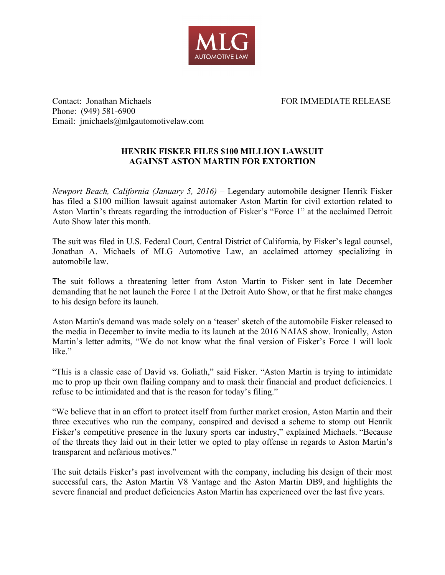

Contact: Jonathan Michaels FOR IMMEDIATE RELEASE Phone: (949) 581-6900 Email: jmichaels@mlgautomotivelaw.com

## **HENRIK FISKER FILES \$100 MILLION LAWSUIT AGAINST ASTON MARTIN FOR EXTORTION**

*Newport Beach, California (January 5, 2016)* – Legendary automobile designer Henrik Fisker has filed a \$100 million lawsuit against automaker Aston Martin for civil extortion related to Aston Martin's threats regarding the introduction of Fisker's "Force 1" at the acclaimed Detroit Auto Show later this month.

The suit was filed in U.S. Federal Court, Central District of California, by Fisker's legal counsel, Jonathan A. Michaels of MLG Automotive Law, an acclaimed attorney specializing in automobile law.

The suit follows a threatening letter from Aston Martin to Fisker sent in late December demanding that he not launch the Force 1 at the Detroit Auto Show, or that he first make changes to his design before its launch.

Aston Martin's demand was made solely on a 'teaser' sketch of the automobile Fisker released to the media in December to invite media to its launch at the 2016 NAIAS show. Ironically, Aston Martin's letter admits, "We do not know what the final version of Fisker's Force 1 will look like"

"This is a classic case of David vs. Goliath," said Fisker. "Aston Martin is trying to intimidate me to prop up their own flailing company and to mask their financial and product deficiencies. I refuse to be intimidated and that is the reason for today's filing."

"We believe that in an effort to protect itself from further market erosion, Aston Martin and their three executives who run the company, conspired and devised a scheme to stomp out Henrik Fisker's competitive presence in the luxury sports car industry," explained Michaels. "Because of the threats they laid out in their letter we opted to play offense in regards to Aston Martin's transparent and nefarious motives."

The suit details Fisker's past involvement with the company, including his design of their most successful cars, the Aston Martin V8 Vantage and the Aston Martin DB9, and highlights the severe financial and product deficiencies Aston Martin has experienced over the last five years.